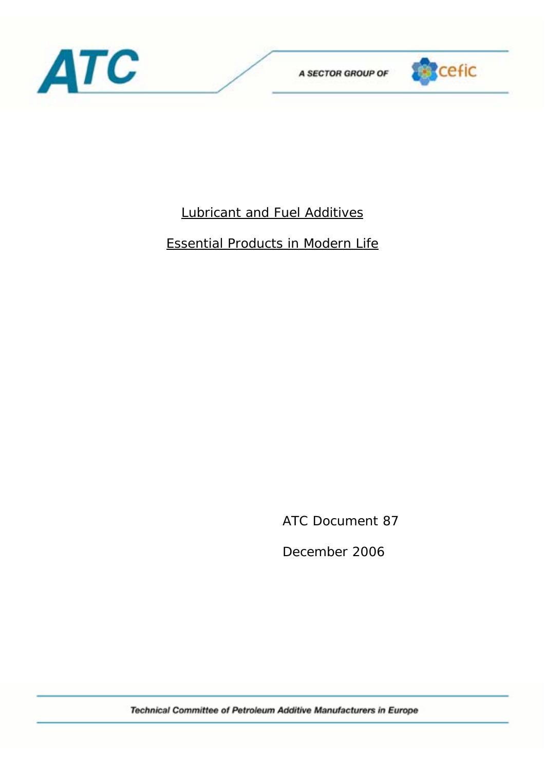



# Lubricant and Fuel Additives

# Essential Products in Modern Life

ATC Document 87

December 2006

Technical Committee of Petroleum Additive Manufacturers in Europe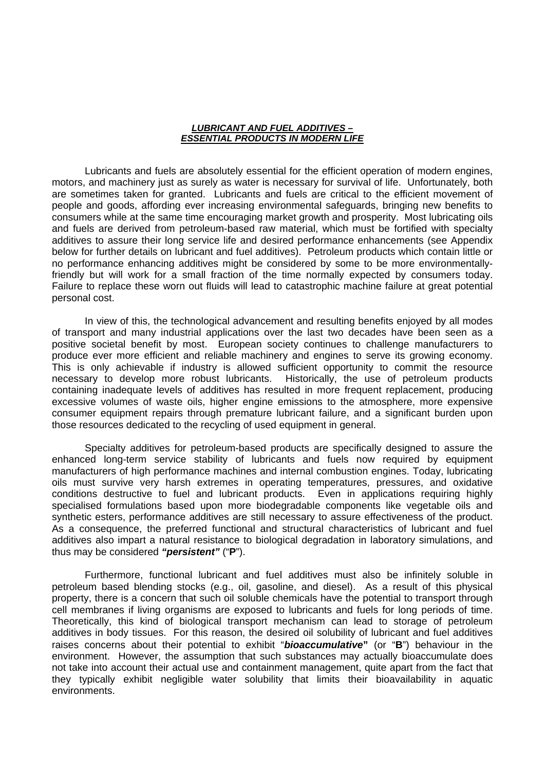#### *LUBRICANT AND FUEL ADDITIVES – ESSENTIAL PRODUCTS IN MODERN LIFE*

 Lubricants and fuels are absolutely essential for the efficient operation of modern engines, motors, and machinery just as surely as water is necessary for survival of life. Unfortunately, both are sometimes taken for granted. Lubricants and fuels are critical to the efficient movement of people and goods, affording ever increasing environmental safeguards, bringing new benefits to consumers while at the same time encouraging market growth and prosperity. Most lubricating oils and fuels are derived from petroleum-based raw material, which must be fortified with specialty additives to assure their long service life and desired performance enhancements (see Appendix below for further details on lubricant and fuel additives). Petroleum products which contain little or no performance enhancing additives might be considered by some to be more environmentallyfriendly but will work for a small fraction of the time normally expected by consumers today. Failure to replace these worn out fluids will lead to catastrophic machine failure at great potential personal cost.

In view of this, the technological advancement and resulting benefits enjoyed by all modes of transport and many industrial applications over the last two decades have been seen as a positive societal benefit by most. European society continues to challenge manufacturers to produce ever more efficient and reliable machinery and engines to serve its growing economy. This is only achievable if industry is allowed sufficient opportunity to commit the resource necessary to develop more robust lubricants. Historically, the use of petroleum products containing inadequate levels of additives has resulted in more frequent replacement, producing excessive volumes of waste oils, higher engine emissions to the atmosphere, more expensive consumer equipment repairs through premature lubricant failure, and a significant burden upon those resources dedicated to the recycling of used equipment in general.

Specialty additives for petroleum-based products are specifically designed to assure the enhanced long-term service stability of lubricants and fuels now required by equipment manufacturers of high performance machines and internal combustion engines. Today, lubricating oils must survive very harsh extremes in operating temperatures, pressures, and oxidative conditions destructive to fuel and lubricant products. Even in applications requiring highly specialised formulations based upon more biodegradable components like vegetable oils and synthetic esters, performance additives are still necessary to assure effectiveness of the product. As a consequence, the preferred functional and structural characteristics of lubricant and fuel additives also impart a natural resistance to biological degradation in laboratory simulations, and thus may be considered *"persistent"* ("**P**").

Furthermore, functional lubricant and fuel additives must also be infinitely soluble in petroleum based blending stocks (e.g., oil, gasoline, and diesel). As a result of this physical property, there is a concern that such oil soluble chemicals have the potential to transport through cell membranes if living organisms are exposed to lubricants and fuels for long periods of time. Theoretically, this kind of biological transport mechanism can lead to storage of petroleum additives in body tissues. For this reason, the desired oil solubility of lubricant and fuel additives raises concerns about their potential to exhibit "*bioaccumulative***"** (or "**B**") behaviour in the environment. However, the assumption that such substances may actually bioaccumulate does not take into account their actual use and containment management, quite apart from the fact that they typically exhibit negligible water solubility that limits their bioavailability in aquatic environments.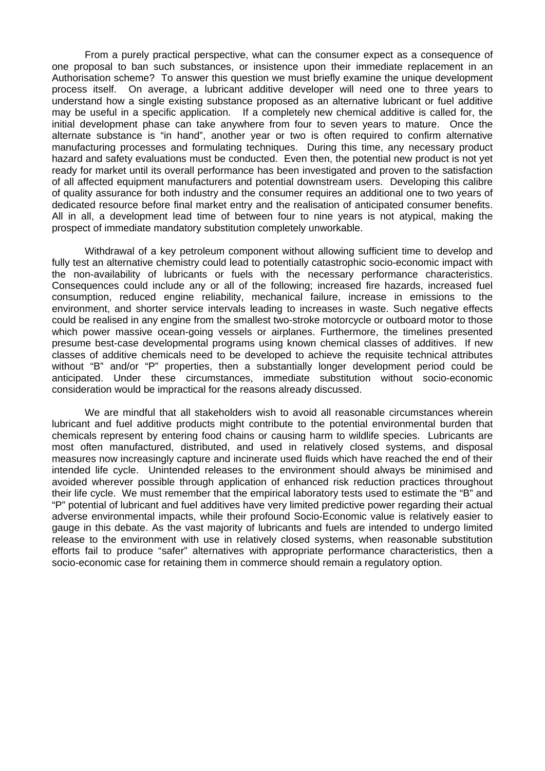From a purely practical perspective, what can the consumer expect as a consequence of one proposal to ban such substances, or insistence upon their immediate replacement in an Authorisation scheme? To answer this question we must briefly examine the unique development process itself. On average, a lubricant additive developer will need one to three years to understand how a single existing substance proposed as an alternative lubricant or fuel additive may be useful in a specific application. If a completely new chemical additive is called for, the initial development phase can take anywhere from four to seven years to mature. Once the alternate substance is "in hand", another year or two is often required to confirm alternative manufacturing processes and formulating techniques. During this time, any necessary product hazard and safety evaluations must be conducted. Even then, the potential new product is not yet ready for market until its overall performance has been investigated and proven to the satisfaction of all affected equipment manufacturers and potential downstream users. Developing this calibre of quality assurance for both industry and the consumer requires an additional one to two years of dedicated resource before final market entry and the realisation of anticipated consumer benefits. All in all, a development lead time of between four to nine years is not atypical, making the prospect of immediate mandatory substitution completely unworkable.

Withdrawal of a key petroleum component without allowing sufficient time to develop and fully test an alternative chemistry could lead to potentially catastrophic socio-economic impact with the non-availability of lubricants or fuels with the necessary performance characteristics. Consequences could include any or all of the following; increased fire hazards, increased fuel consumption, reduced engine reliability, mechanical failure, increase in emissions to the environment, and shorter service intervals leading to increases in waste. Such negative effects could be realised in any engine from the smallest two-stroke motorcycle or outboard motor to those which power massive ocean-going vessels or airplanes. Furthermore, the timelines presented presume best-case developmental programs using known chemical classes of additives. If new classes of additive chemicals need to be developed to achieve the requisite technical attributes without "B" and/or "P" properties, then a substantially longer development period could be anticipated. Under these circumstances, immediate substitution without socio-economic consideration would be impractical for the reasons already discussed.

We are mindful that all stakeholders wish to avoid all reasonable circumstances wherein lubricant and fuel additive products might contribute to the potential environmental burden that chemicals represent by entering food chains or causing harm to wildlife species. Lubricants are most often manufactured, distributed, and used in relatively closed systems, and disposal measures now increasingly capture and incinerate used fluids which have reached the end of their intended life cycle. Unintended releases to the environment should always be minimised and avoided wherever possible through application of enhanced risk reduction practices throughout their life cycle. We must remember that the empirical laboratory tests used to estimate the "B" and "P" potential of lubricant and fuel additives have very limited predictive power regarding their actual adverse environmental impacts, while their profound Socio-Economic value is relatively easier to gauge in this debate. As the vast majority of lubricants and fuels are intended to undergo limited release to the environment with use in relatively closed systems, when reasonable substitution efforts fail to produce "safer" alternatives with appropriate performance characteristics, then a socio-economic case for retaining them in commerce should remain a regulatory option.